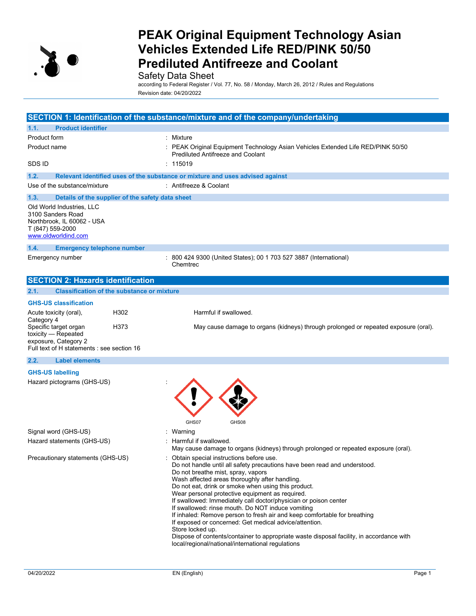

### Safety Data Sheet

according to Federal Register / Vol. 77, No. 58 / Monday, March 26, 2012 / Rules and Regulations Revision date: 04/20/2022

|                                                                                                                                          | SECTION 1: Identification of the substance/mixture and of the company/undertaking                                                                                                                                                                                                                                                                                                                                                                                                                                                                                                                                                                                                                                                                             |  |  |
|------------------------------------------------------------------------------------------------------------------------------------------|---------------------------------------------------------------------------------------------------------------------------------------------------------------------------------------------------------------------------------------------------------------------------------------------------------------------------------------------------------------------------------------------------------------------------------------------------------------------------------------------------------------------------------------------------------------------------------------------------------------------------------------------------------------------------------------------------------------------------------------------------------------|--|--|
| <b>Product identifier</b><br>1.1.                                                                                                        |                                                                                                                                                                                                                                                                                                                                                                                                                                                                                                                                                                                                                                                                                                                                                               |  |  |
| Product form                                                                                                                             | : Mixture                                                                                                                                                                                                                                                                                                                                                                                                                                                                                                                                                                                                                                                                                                                                                     |  |  |
| Product name                                                                                                                             | : PEAK Original Equipment Technology Asian Vehicles Extended Life RED/PINK 50/50<br><b>Prediluted Antifreeze and Coolant</b>                                                                                                                                                                                                                                                                                                                                                                                                                                                                                                                                                                                                                                  |  |  |
| SDS ID                                                                                                                                   | : 115019                                                                                                                                                                                                                                                                                                                                                                                                                                                                                                                                                                                                                                                                                                                                                      |  |  |
| 1.2.                                                                                                                                     | Relevant identified uses of the substance or mixture and uses advised against                                                                                                                                                                                                                                                                                                                                                                                                                                                                                                                                                                                                                                                                                 |  |  |
| Use of the substance/mixture                                                                                                             | : Antifreeze & Coolant                                                                                                                                                                                                                                                                                                                                                                                                                                                                                                                                                                                                                                                                                                                                        |  |  |
| 1.3.<br>Details of the supplier of the safety data sheet                                                                                 |                                                                                                                                                                                                                                                                                                                                                                                                                                                                                                                                                                                                                                                                                                                                                               |  |  |
| Old World Industries, LLC<br>3100 Sanders Road<br>Northbrook, IL 60062 - USA<br>T (847) 559-2000<br>www.oldworldind.com                  |                                                                                                                                                                                                                                                                                                                                                                                                                                                                                                                                                                                                                                                                                                                                                               |  |  |
| 1.4.<br><b>Emergency telephone number</b>                                                                                                |                                                                                                                                                                                                                                                                                                                                                                                                                                                                                                                                                                                                                                                                                                                                                               |  |  |
| Emergency number                                                                                                                         | 800 424 9300 (United States); 00 1 703 527 3887 (International)<br>Chemtrec                                                                                                                                                                                                                                                                                                                                                                                                                                                                                                                                                                                                                                                                                   |  |  |
| <b>SECTION 2: Hazards identification</b>                                                                                                 |                                                                                                                                                                                                                                                                                                                                                                                                                                                                                                                                                                                                                                                                                                                                                               |  |  |
| <b>Classification of the substance or mixture</b><br>2.1.                                                                                |                                                                                                                                                                                                                                                                                                                                                                                                                                                                                                                                                                                                                                                                                                                                                               |  |  |
| <b>GHS-US classification</b>                                                                                                             |                                                                                                                                                                                                                                                                                                                                                                                                                                                                                                                                                                                                                                                                                                                                                               |  |  |
| Acute toxicity (oral),<br>H302                                                                                                           | Harmful if swallowed.                                                                                                                                                                                                                                                                                                                                                                                                                                                                                                                                                                                                                                                                                                                                         |  |  |
| Category 4<br>Specific target organ<br>H373<br>toxicity - Repeated<br>exposure, Category 2<br>Full text of H statements : see section 16 | May cause damage to organs (kidneys) through prolonged or repeated exposure (oral).                                                                                                                                                                                                                                                                                                                                                                                                                                                                                                                                                                                                                                                                           |  |  |
| 2.2.<br><b>Label elements</b>                                                                                                            |                                                                                                                                                                                                                                                                                                                                                                                                                                                                                                                                                                                                                                                                                                                                                               |  |  |
| <b>GHS-US labelling</b>                                                                                                                  |                                                                                                                                                                                                                                                                                                                                                                                                                                                                                                                                                                                                                                                                                                                                                               |  |  |
| Hazard pictograms (GHS-US)                                                                                                               | GHS07<br>GHS08                                                                                                                                                                                                                                                                                                                                                                                                                                                                                                                                                                                                                                                                                                                                                |  |  |
| Signal word (GHS-US)                                                                                                                     | : Warning                                                                                                                                                                                                                                                                                                                                                                                                                                                                                                                                                                                                                                                                                                                                                     |  |  |
| Hazard statements (GHS-US)                                                                                                               | : Harmful if swallowed.<br>May cause damage to organs (kidneys) through prolonged or repeated exposure (oral).                                                                                                                                                                                                                                                                                                                                                                                                                                                                                                                                                                                                                                                |  |  |
| Precautionary statements (GHS-US)                                                                                                        | : Obtain special instructions before use.<br>Do not handle until all safety precautions have been read and understood.<br>Do not breathe mist, spray, vapors<br>Wash affected areas thoroughly after handling.<br>Do not eat, drink or smoke when using this product.<br>Wear personal protective equipment as required.<br>If swallowed: Immediately call doctor/physician or poison center<br>If swallowed: rinse mouth. Do NOT induce vomiting<br>If inhaled: Remove person to fresh air and keep comfortable for breathing<br>If exposed or concerned: Get medical advice/attention.<br>Store locked up.<br>Dispose of contents/container to appropriate waste disposal facility, in accordance with<br>local/regional/national/international regulations |  |  |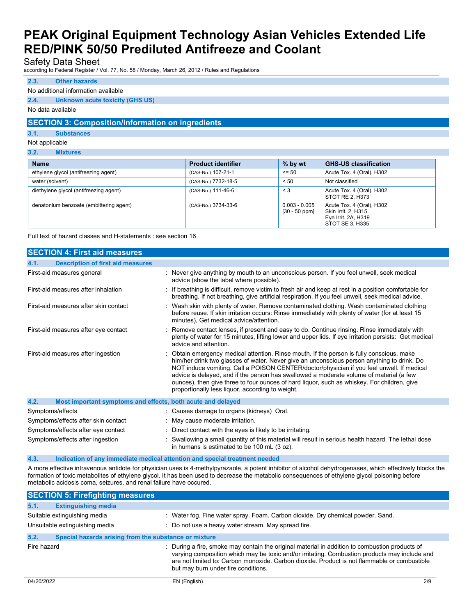Safety Data Sheet

according to Federal Register / Vol. 77, No. 58 / Monday, March 26, 2012 / Rules and Regulations

### **2.3. Other hazards**

#### No additional information available

#### **2.4. Unknown acute toxicity (GHS US)**

No data available

### **SECTION 3: Composition/information on ingredients**

**3.1. Substances**

#### Not applicable

| 3.2.<br><b>Mixtures</b> |  |
|-------------------------|--|
|-------------------------|--|

| <b>Name</b>                             | <b>Product identifier</b> | % by wt                            | <b>GHS-US classification</b>                                                               |
|-----------------------------------------|---------------------------|------------------------------------|--------------------------------------------------------------------------------------------|
| ethylene glycol (antifreezing agent)    | (CAS-No.) 107-21-1        | $\leq$ 50                          | Acute Tox. 4 (Oral), H302                                                                  |
| water (solvent)                         | (CAS-No.) 7732-18-5       | < 50                               | Not classified                                                                             |
| diethylene glycol (antifreezing agent)  | (CAS-No.) 111-46-6        | $\leq 3$                           | Acute Tox. 4 (Oral), H302<br>STOT RE 2, H373                                               |
| denatonium benzoate (embittering agent) | (CAS-No.) 3734-33-6       | $0.003 - 0.005$<br>$[30 - 50$ ppm] | Acute Tox. 4 (Oral), H302<br>Skin Irrit. 2, H315<br>Eye Irrit. 2A, H319<br>STOT SE 3, H335 |

Full text of hazard classes and H-statements : see section 16

| <b>SECTION 4: First aid measures</b>                                |                                                                                                                                                                                                                                                                                                                                                                                                                                                                                                                                    |
|---------------------------------------------------------------------|------------------------------------------------------------------------------------------------------------------------------------------------------------------------------------------------------------------------------------------------------------------------------------------------------------------------------------------------------------------------------------------------------------------------------------------------------------------------------------------------------------------------------------|
| <b>Description of first aid measures</b><br>4.1.                    |                                                                                                                                                                                                                                                                                                                                                                                                                                                                                                                                    |
| First-aid measures general                                          | : Never give anything by mouth to an unconscious person. If you feel unwell, seek medical<br>advice (show the label where possible).                                                                                                                                                                                                                                                                                                                                                                                               |
| First-aid measures after inhalation                                 | : If breathing is difficult, remove victim to fresh air and keep at rest in a position comfortable for<br>breathing. If not breathing, give artificial respiration. If you feel unwell, seek medical advice.                                                                                                                                                                                                                                                                                                                       |
| First-aid measures after skin contact                               | : Wash skin with plenty of water. Remove contaminated clothing. Wash contaminated clothing<br>before reuse. If skin irritation occurs: Rinse immediately with plenty of water (for at least 15<br>minutes). Get medical advice/attention.                                                                                                                                                                                                                                                                                          |
| First-aid measures after eye contact                                | : Remove contact lenses, if present and easy to do. Continue rinsing. Rinse immediately with<br>plenty of water for 15 minutes, lifting lower and upper lids. If eye irritation persists: Get medical<br>advice and attention.                                                                                                                                                                                                                                                                                                     |
| First-aid measures after ingestion                                  | : Obtain emergency medical attention. Rinse mouth. If the person is fully conscious, make<br>him/her drink two glasses of water. Never give an unconscious person anything to drink. Do<br>NOT induce vomiting. Call a POISON CENTER/doctor/physician if you feel unwell. If medical<br>advice is delayed, and if the person has swallowed a moderate volume of material (a few<br>ounces), then give three to four ounces of hard liquor, such as whiskey. For children, give<br>proportionally less liquor, according to weight. |
| 4.2.<br>Most important symptoms and effects, both acute and delayed |                                                                                                                                                                                                                                                                                                                                                                                                                                                                                                                                    |
| Symptoms/effects                                                    | : Causes damage to organs (kidneys) Oral.                                                                                                                                                                                                                                                                                                                                                                                                                                                                                          |
| Symptoms/effects after skin contact                                 | : May cause moderate irritation.                                                                                                                                                                                                                                                                                                                                                                                                                                                                                                   |
| Symptoms/effects after eye contact                                  | : Direct contact with the eyes is likely to be irritating.                                                                                                                                                                                                                                                                                                                                                                                                                                                                         |
| Symptoms/effects after ingestion                                    | : Swallowing a small quantity of this material will result in serious health hazard. The lethal dose<br>in humans is estimated to be 100 mL (3 oz).                                                                                                                                                                                                                                                                                                                                                                                |

#### **4.3. Indication of any immediate medical attention and special treatment needed**

A more effective intravenous antidote for physician uses is 4-methylpyrazaole, a potent inhibitor of alcohol dehydrogenases, which effectively blocks the formation of toxic metabolites of ethylene glycol. It has been used to decrease the metabolic consequences of ethylene glycol poisoning before metabolic acidosis coma, seizures, and renal failure have occured.

|             | <b>SECTION 5: Firefighting measures</b>                        |                                                                                                                                                                                                                                                                                                                                        |  |
|-------------|----------------------------------------------------------------|----------------------------------------------------------------------------------------------------------------------------------------------------------------------------------------------------------------------------------------------------------------------------------------------------------------------------------------|--|
| 5.1.        | <b>Extinguishing media</b>                                     |                                                                                                                                                                                                                                                                                                                                        |  |
|             | Suitable extinguishing media<br>Unsuitable extinguishing media | : Water fog. Fine water spray. Foam. Carbon dioxide. Dry chemical powder. Sand.<br>: Do not use a heavy water stream. May spread fire.                                                                                                                                                                                                 |  |
| 5.2.        | Special hazards arising from the substance or mixture          |                                                                                                                                                                                                                                                                                                                                        |  |
| Fire hazard |                                                                | : During a fire, smoke may contain the original material in addition to combustion products of<br>varying composition which may be toxic and/or irritating. Combustion products may include and<br>are not limited to: Carbon monoxide. Carbon dioxide. Product is not flammable or combustible<br>but may burn under fire conditions. |  |
| 04/20/2022  |                                                                | EN (English)<br>2/9                                                                                                                                                                                                                                                                                                                    |  |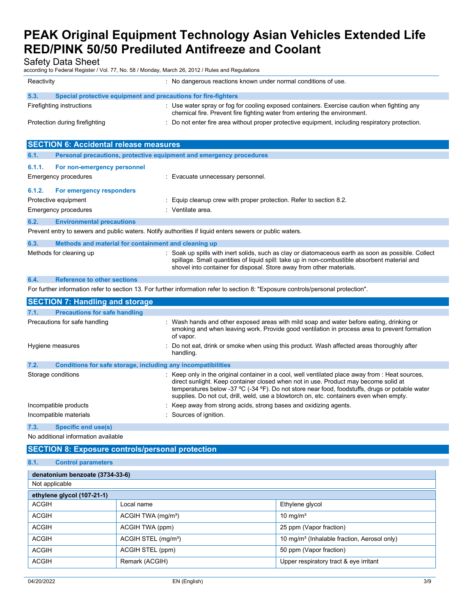Safety Data Sheet

according to Federal Register / Vol. 77, No. 58 / Monday, March 26, 2012 / Rules and Regulations

| Reactivity                                                             | : No dangerous reactions known under normal conditions of use.                                                                                                           |
|------------------------------------------------------------------------|--------------------------------------------------------------------------------------------------------------------------------------------------------------------------|
| 5.3.<br>Special protective equipment and precautions for fire-fighters |                                                                                                                                                                          |
| Firefighting instructions                                              | : Use water spray or fog for cooling exposed containers. Exercise caution when fighting any<br>chemical fire. Prevent fire fighting water from entering the environment. |
| Protection during firefighting                                         | : Do not enter fire area without proper protective equipment, including respiratory protection.                                                                          |

| <b>SECTION 6: Accidental release measures</b> |                                                                     |                                                                                                                                                                                                                                                                              |  |  |
|-----------------------------------------------|---------------------------------------------------------------------|------------------------------------------------------------------------------------------------------------------------------------------------------------------------------------------------------------------------------------------------------------------------------|--|--|
| 6.1.                                          | Personal precautions, protective equipment and emergency procedures |                                                                                                                                                                                                                                                                              |  |  |
| 6.1.1.                                        | For non-emergency personnel                                         |                                                                                                                                                                                                                                                                              |  |  |
|                                               | <b>Emergency procedures</b>                                         | : Evacuate unnecessary personnel.                                                                                                                                                                                                                                            |  |  |
| 6.1.2.                                        | For emergency responders                                            |                                                                                                                                                                                                                                                                              |  |  |
|                                               | Protective equipment                                                | : Equip cleanup crew with proper protection. Refer to section 8.2.                                                                                                                                                                                                           |  |  |
|                                               | <b>Emergency procedures</b>                                         | : Ventilate area.                                                                                                                                                                                                                                                            |  |  |
| 6.2.                                          | <b>Environmental precautions</b>                                    |                                                                                                                                                                                                                                                                              |  |  |
|                                               |                                                                     | Prevent entry to sewers and public waters. Notify authorities if liquid enters sewers or public waters.                                                                                                                                                                      |  |  |
| 6.3.                                          | Methods and material for containment and cleaning up                |                                                                                                                                                                                                                                                                              |  |  |
|                                               | Methods for cleaning up                                             | : Soak up spills with inert solids, such as clay or diatomaceous earth as soon as possible. Collect<br>spillage. Small quantities of liquid spill: take up in non-combustible absorbent material and<br>shovel into container for disposal. Store away from other materials. |  |  |
| 6.4.                                          | <b>Reference to other sections</b>                                  |                                                                                                                                                                                                                                                                              |  |  |
|                                               |                                                                     | For further information refer to section 13. For further information refer to section 8: "Exposure controls/personal protection".                                                                                                                                            |  |  |
|                                               | <b>SECTION 7: Handling and storage</b>                              |                                                                                                                                                                                                                                                                              |  |  |
| 7.1.                                          | <b>Precautions for safe handling</b>                                |                                                                                                                                                                                                                                                                              |  |  |
|                                               | Precautions for safe handling                                       | : Wash hands and other exposed areas with mild soap and water before eating, drinking or<br>smoking and when leaving work. Provide good ventilation in process area to prevent formation<br>of vapor.                                                                        |  |  |
|                                               | Hygiene measures                                                    | Do not eat, drink or smoke when using this product. Wash affected areas thoroughly after                                                                                                                                                                                     |  |  |

| handling.                                                                                                                                                                                                                                                                                                                                                                            |
|--------------------------------------------------------------------------------------------------------------------------------------------------------------------------------------------------------------------------------------------------------------------------------------------------------------------------------------------------------------------------------------|
|                                                                                                                                                                                                                                                                                                                                                                                      |
| : Keep only in the original container in a cool, well ventilated place away from : Heat sources,<br>direct sunlight. Keep container closed when not in use. Product may become solid at<br>temperatures below -37 °C (-34 °F). Do not store near food, foodstuffs, drugs or potable water<br>supplies. Do not cut, drill, weld, use a blowtorch on, etc. containers even when empty. |
| : Keep away from strong acids, strong bases and oxidizing agents.<br>: Sources of ignition.                                                                                                                                                                                                                                                                                          |
| Conditions for safe storage, including any incompatibilities<br>Storage conditions<br>Incompatible products<br>Incompatible materials                                                                                                                                                                                                                                                |

### **7.3. Specific end use(s)**

No additional information available

## **SECTION 8: Exposure controls/personal protection**

### **8.1. Control parameters**

| denatonium benzoate (3734-33-6) |                                 |                                                         |
|---------------------------------|---------------------------------|---------------------------------------------------------|
| Not applicable                  |                                 |                                                         |
| ethylene glycol (107-21-1)      |                                 |                                                         |
| <b>ACGIH</b>                    | Local name                      | Ethylene glycol                                         |
| <b>ACGIH</b>                    | ACGIH TWA (mg/m <sup>3</sup> )  | 10 mg/m <sup>3</sup>                                    |
| <b>ACGIH</b>                    | ACGIH TWA (ppm)                 | 25 ppm (Vapor fraction)                                 |
| <b>ACGIH</b>                    | ACGIH STEL (mg/m <sup>3</sup> ) | 10 mg/m <sup>3</sup> (Inhalable fraction, Aerosol only) |
| <b>ACGIH</b>                    | ACGIH STEL (ppm)                | 50 ppm (Vapor fraction)                                 |
| <b>ACGIH</b>                    | Remark (ACGIH)                  | Upper respiratory tract & eye irritant                  |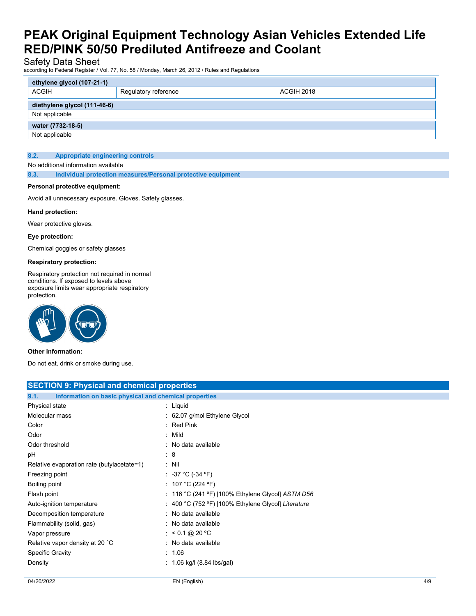### Safety Data Sheet

according to Federal Register / Vol. 77, No. 58 / Monday, March 26, 2012 / Rules and Regulations

| ethylene glycol (107-21-1)   |                      |            |
|------------------------------|----------------------|------------|
| <b>ACGIH</b>                 | Regulatory reference | ACGIH 2018 |
| diethylene glycol (111-46-6) |                      |            |
| Not applicable               |                      |            |
| water (7732-18-5)            |                      |            |
| Not applicable               |                      |            |

#### **8.2. Appropriate engineering controls**

#### No additional information available

**8.3. Individual protection measures/Personal protective equipment**

#### **Personal protective equipment:**

Avoid all unnecessary exposure. Gloves. Safety glasses.

#### **Hand protection:**

Wear protective gloves.

#### **Eye protection:**

Chemical goggles or safety glasses

#### **Respiratory protection:**

Respiratory protection not required in normal conditions. If exposed to levels above exposure limits wear appropriate respiratory protection.



#### **Other information:**

Do not eat, drink or smoke during use.

| <b>SECTION 9: Physical and chemical properties</b>            |                                                     |  |
|---------------------------------------------------------------|-----------------------------------------------------|--|
| Information on basic physical and chemical properties<br>9.1. |                                                     |  |
| Physical state                                                | : Liquid                                            |  |
| Molecular mass                                                | : 62.07 g/mol Ethylene Glycol                       |  |
| Color                                                         | $:$ Red Pink                                        |  |
| Odor                                                          | $:$ Mild                                            |  |
| Odor threshold                                                | : No data available                                 |  |
| рH                                                            | : 8                                                 |  |
| Relative evaporation rate (butylacetate=1)                    | $:$ Nil                                             |  |
| Freezing point                                                | : -37 °C (-34 °F)                                   |  |
| Boiling point                                                 | : 107 °C (224 °F)                                   |  |
| Flash point                                                   | : 116 °C (241 °F) [100% Ethylene Glycol] $ASTM$ D56 |  |
| Auto-ignition temperature                                     | : 400 °C (752 °F) [100% Ethylene Glycol] Literature |  |
| Decomposition temperature                                     | : No data available                                 |  |
| Flammability (solid, gas)                                     | : No data available                                 |  |
| Vapor pressure                                                | : $< 0.1 \text{ @ } 20 \text{ °C}$                  |  |
| Relative vapor density at 20 °C                               | : No data available                                 |  |
| <b>Specific Gravity</b>                                       | : 1.06                                              |  |
| Density                                                       | $: 1.06$ kg/l $(8.84$ lbs/gal)                      |  |
|                                                               |                                                     |  |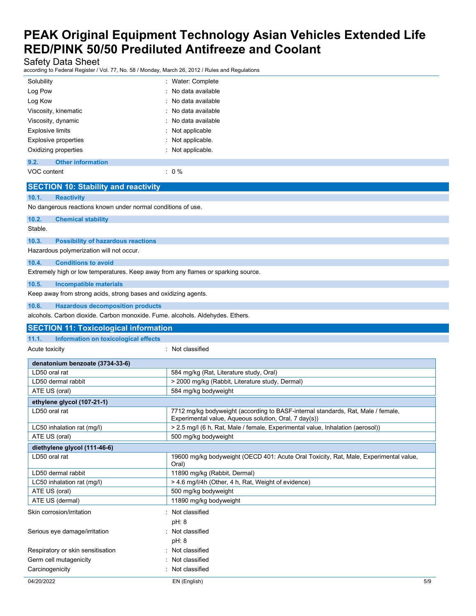Safety Data Sheet

according to Federal Register / Vol. 77, No. 58 / Monday, March 26, 2012 / Rules and Regulations

| : Water: Complete   |
|---------------------|
| : No data available |
| : No data available |
| : No data available |
| : No data available |
| : Not applicable    |
| : Not applicable.   |
| : Not applicable.   |
|                     |
|                     |

VOC content  $\qquad \qquad : \quad 0\%$ 

| <b>SECTION 10: Stability and reactivity</b>                                       |                                                                                                                                           |
|-----------------------------------------------------------------------------------|-------------------------------------------------------------------------------------------------------------------------------------------|
| 10.1.<br><b>Reactivity</b>                                                        |                                                                                                                                           |
| No dangerous reactions known under normal conditions of use.                      |                                                                                                                                           |
| 10.2.<br><b>Chemical stability</b>                                                |                                                                                                                                           |
| Stable.                                                                           |                                                                                                                                           |
| 10.3.<br><b>Possibility of hazardous reactions</b>                                |                                                                                                                                           |
| Hazardous polymerization will not occur.                                          |                                                                                                                                           |
| 10.4.<br><b>Conditions to avoid</b>                                               |                                                                                                                                           |
| Extremely high or low temperatures. Keep away from any flames or sparking source. |                                                                                                                                           |
| 10.5.<br><b>Incompatible materials</b>                                            |                                                                                                                                           |
| Keep away from strong acids, strong bases and oxidizing agents.                   |                                                                                                                                           |
| 10.6.<br><b>Hazardous decomposition products</b>                                  |                                                                                                                                           |
| alcohols. Carbon dioxide. Carbon monoxide. Fume. alcohols. Aldehydes. Ethers.     |                                                                                                                                           |
| <b>SECTION 11: Toxicological information</b>                                      |                                                                                                                                           |
| 11.1.<br>Information on toxicological effects                                     |                                                                                                                                           |
| Acute toxicity                                                                    | : Not classified                                                                                                                          |
| denatonium benzoate (3734-33-6)                                                   |                                                                                                                                           |
| LD50 oral rat                                                                     | 584 mg/kg (Rat, Literature study, Oral)                                                                                                   |
| LD50 dermal rabbit                                                                | > 2000 mg/kg (Rabbit, Literature study, Dermal)                                                                                           |
| ATE US (oral)                                                                     | 584 mg/kg bodyweight                                                                                                                      |
| ethylene glycol (107-21-1)                                                        |                                                                                                                                           |
| LD50 oral rat                                                                     | 7712 mg/kg bodyweight (according to BASF-internal standards, Rat, Male / female,<br>Experimental value, Aqueous solution, Oral, 7 day(s)) |
| LC50 inhalation rat (mg/l)                                                        | > 2.5 mg/l (6 h, Rat, Male / female, Experimental value, Inhalation (aerosol))                                                            |
| ATE US (oral)                                                                     | 500 mg/kg bodyweight                                                                                                                      |
| diethylene glycol (111-46-6)                                                      |                                                                                                                                           |
| LD50 oral rat                                                                     | 19600 mg/kg bodyweight (OECD 401: Acute Oral Toxicity, Rat, Male, Experimental value,<br>Oral)                                            |
| LD50 dermal rabbit                                                                | 11890 mg/kg (Rabbit, Dermal)                                                                                                              |
| LC50 inhalation rat (mg/l)                                                        | > 4.6 mg/l/4h (Other, 4 h, Rat, Weight of evidence)                                                                                       |
| ATE US (oral)                                                                     | 500 mg/kg bodyweight                                                                                                                      |
| ATE US (dermal)                                                                   | 11890 mg/kg bodyweight                                                                                                                    |
| Skin corrosion/irritation                                                         | Not classified                                                                                                                            |
|                                                                                   | pH: 8                                                                                                                                     |
| Serious eye damage/irritation                                                     | Not classified                                                                                                                            |
|                                                                                   | pH: 8                                                                                                                                     |
| Respiratory or skin sensitisation                                                 | Not classified                                                                                                                            |
| Germ cell mutagenicity                                                            | Not classified                                                                                                                            |
| Carcinogenicity                                                                   | Not classified                                                                                                                            |
| 04/20/2022                                                                        | EN (English)<br>5/9                                                                                                                       |
|                                                                                   |                                                                                                                                           |
|                                                                                   |                                                                                                                                           |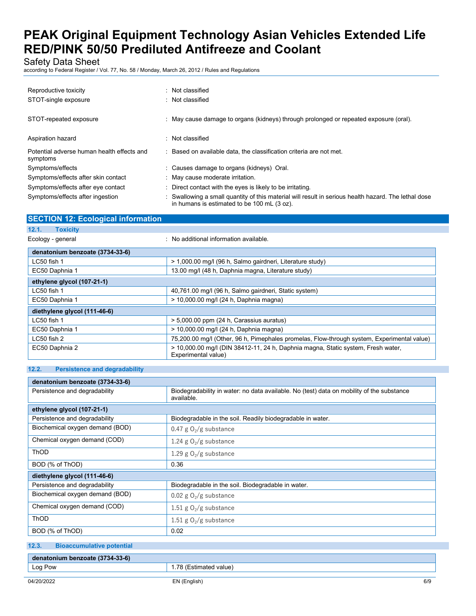Safety Data Sheet

according to Federal Register / Vol. 77, No. 58 / Monday, March 26, 2012 / Rules and Regulations

| Reproductive toxicity<br>STOT-single exposure          | : Not classified<br>: Not classified                                                                                                              |
|--------------------------------------------------------|---------------------------------------------------------------------------------------------------------------------------------------------------|
| STOT-repeated exposure                                 | : May cause damage to organs (kidneys) through prolonged or repeated exposure (oral).                                                             |
| Aspiration hazard                                      | : Not classified                                                                                                                                  |
| Potential adverse human health effects and<br>symptoms | : Based on available data, the classification criteria are not met.                                                                               |
| Symptoms/effects                                       | : Causes damage to organs (kidneys) Oral.                                                                                                         |
| Symptoms/effects after skin contact                    | : May cause moderate irritation.                                                                                                                  |
| Symptoms/effects after eye contact                     | : Direct contact with the eyes is likely to be irritating.                                                                                        |
| Symptoms/effects after ingestion                       | Swallowing a small quantity of this material will result in serious health hazard. The lethal dose<br>in humans is estimated to be 100 mL (3 oz). |

| <b>SECTION 12: Ecological information</b> |                                                                                                         |
|-------------------------------------------|---------------------------------------------------------------------------------------------------------|
| 12.1.<br><b>Toxicity</b>                  |                                                                                                         |
| Ecology - general                         | : No additional information available.                                                                  |
| denatonium benzoate (3734-33-6)           |                                                                                                         |
| LC50 fish 1                               | > 1,000.00 mg/l (96 h, Salmo gairdneri, Literature study)                                               |
| EC50 Daphnia 1                            | 13.00 mg/l (48 h, Daphnia magna, Literature study)                                                      |
| ethylene glycol (107-21-1)                |                                                                                                         |
| $LC50$ fish 1                             | 40,761.00 mg/l (96 h, Salmo gairdneri, Static system)                                                   |
| EC50 Daphnia 1                            | > 10,000.00 mg/l (24 h, Daphnia magna)                                                                  |
| diethylene glycol (111-46-6)              |                                                                                                         |
| LC50 fish 1                               | > 5,000.00 ppm (24 h, Carassius auratus)                                                                |
| EC50 Daphnia 1                            | > 10,000.00 mg/l (24 h, Daphnia magna)                                                                  |
| LC50 fish 2                               | 75,200.00 mg/l (Other, 96 h, Pimephales promelas, Flow-through system, Experimental value)              |
| EC50 Daphnia 2                            | > 10,000.00 mg/l (DIN 38412-11, 24 h, Daphnia magna, Static system, Fresh water,<br>Experimental value) |

### **12.2. Persistence and degradability**

| denatonium benzoate (3734-33-6) |                                                                                                         |  |
|---------------------------------|---------------------------------------------------------------------------------------------------------|--|
| Persistence and degradability   | Biodegradability in water: no data available. No (test) data on mobility of the substance<br>available. |  |
| ethylene glycol (107-21-1)      |                                                                                                         |  |
| Persistence and degradability   | Biodegradable in the soil. Readily biodegradable in water.                                              |  |
| Biochemical oxygen demand (BOD) | 0.47 g $O_2/g$ substance                                                                                |  |
| Chemical oxygen demand (COD)    | 1.24 g $O_2/g$ substance                                                                                |  |
| <b>ThOD</b>                     | 1.29 g $O_2/g$ substance                                                                                |  |
| BOD (% of ThOD)                 | 0.36                                                                                                    |  |
| diethylene glycol (111-46-6)    |                                                                                                         |  |
| Persistence and degradability   | Biodegradable in the soil. Biodegradable in water.                                                      |  |
| Biochemical oxygen demand (BOD) | 0.02 g $O_2/g$ substance                                                                                |  |
| Chemical oxygen demand (COD)    | 1.51 g $O_2/g$ substance                                                                                |  |
| <b>ThOD</b>                     | 1.51 g $O_2/g$ substance                                                                                |  |
| BOD (% of ThOD)                 | 0.02                                                                                                    |  |

| 12.3.   | <b>Bioaccumulative potential</b> |                        |
|---------|----------------------------------|------------------------|
|         | denatonium benzoate (3734-33-6)  |                        |
| Log Pow |                                  | 1.78 (Estimated value) |
|         |                                  |                        |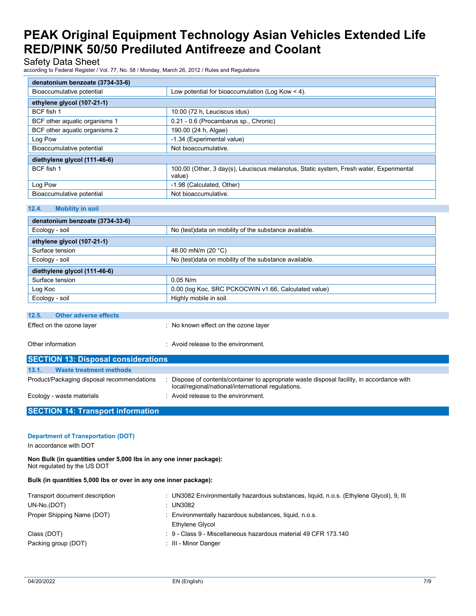### Safety Data Sheet

according to Federal Register / Vol. 77, No. 58 / Monday, March 26, 2012 / Rules and Regulations

| denatonium benzoate (3734-33-6) |                                                                                                  |
|---------------------------------|--------------------------------------------------------------------------------------------------|
| Bioaccumulative potential       | Low potential for bioaccumulation (Log Kow $<$ 4).                                               |
| ethylene glycol (107-21-1)      |                                                                                                  |
| BCF fish 1                      | 10.00 (72 h, Leuciscus idus)                                                                     |
| BCF other aquatic organisms 1   | 0.21 - 0.6 (Procambarus sp., Chronic)                                                            |
| BCF other aquatic organisms 2   | 190.00 (24 h, Algae)                                                                             |
| Log Pow                         | -1.34 (Experimental value)                                                                       |
| Bioaccumulative potential       | Not bioaccumulative.                                                                             |
| diethylene glycol (111-46-6)    |                                                                                                  |
| BCF fish 1                      | 100.00 (Other, 3 day(s), Leuciscus melanotus, Static system, Fresh water, Experimental<br>value) |
| Log Pow                         | -1.98 (Calculated, Other)                                                                        |
| Bioaccumulative potential       | Not bioaccumulative.                                                                             |

#### **12.4. Mobility in soil**

| denatonium benzoate (3734-33-6)       |                                                        |  |
|---------------------------------------|--------------------------------------------------------|--|
| Ecology - soil                        | No (test) data on mobility of the substance available. |  |
| ethylene glycol (107-21-1)            |                                                        |  |
| Surface tension                       | 48.00 mN/m (20 $^{\circ}$ C)                           |  |
| Ecology - soil                        | No (test)data on mobility of the substance available.  |  |
| diethylene glycol (111-46-6)          |                                                        |  |
| Surface tension                       | $0.05$ N/m                                             |  |
| Log Koc                               | 0.00 (log Koc, SRC PCKOCWIN v1.66, Calculated value)   |  |
| Ecology - soil                        | Highly mobile in soil.                                 |  |
|                                       |                                                        |  |
| 12.5.<br><b>Other adverse effects</b> |                                                        |  |

Effect on the ozone layer **interest on the ozone layer** : No known effect on the ozone layer

Other information **in the environment.** Avoid release to the environment.

| <b>SECTION 13: Disposal considerations</b> |                                                                                                                                                |  |
|--------------------------------------------|------------------------------------------------------------------------------------------------------------------------------------------------|--|
| 13.1.<br><b>Waste treatment methods</b>    |                                                                                                                                                |  |
| Product/Packaging disposal recommendations | Dispose of contents/container to appropriate waste disposal facility, in accordance with<br>local/regional/national/international regulations. |  |
| Ecology - waste materials                  | : Avoid release to the environment.                                                                                                            |  |

## **SECTION 14: Transport information**

### **Department of Transportation (DOT)**

In accordance with DOT

**Non Bulk (in quantities under 5,000 lbs in any one inner package):** Not regulated by the US DOT

**Bulk (in quantities 5,000 lbs or over in any one inner package):**

| Transport document description | UN3082 Environmentally hazardous substances, liquid, n.o.s. (Ethylene Glycol), 9, III |
|--------------------------------|---------------------------------------------------------------------------------------|
| UN-No.(DOT)                    | : UN3082                                                                              |
| Proper Shipping Name (DOT)     | : Environmentally hazardous substances, liquid, n.o.s.                                |
|                                | Ethylene Glycol                                                                       |
| Class (DOT)                    | $\div$ 9 - Class 9 - Miscellaneous hazardous material 49 CFR 173.140                  |
| Packing group (DOT)            | : III - Minor Danger                                                                  |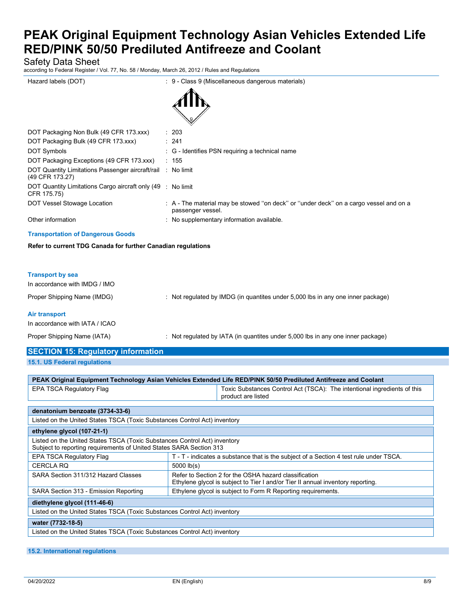Safety Data Sheet

according to Federal Register / Vol. 77, No. 58 / Monday, March 26, 2012 / Rules and Regulations

| according to Federal Register / Vol. 77, No. 58 / Monday, March 26, 2012 / Rules and Regulations |                                                                                                            |
|--------------------------------------------------------------------------------------------------|------------------------------------------------------------------------------------------------------------|
| Hazard labels (DOT)                                                                              | : 9 - Class 9 (Miscellaneous dangerous materials)                                                          |
| DOT Packaging Non Bulk (49 CFR 173.xxx)                                                          | : 203                                                                                                      |
| DOT Packaging Bulk (49 CFR 173.xxx)                                                              | : 241                                                                                                      |
| <b>DOT Symbols</b>                                                                               | : G - Identifies PSN requiring a technical name                                                            |
| DOT Packaging Exceptions (49 CFR 173.xxx)                                                        | : 155                                                                                                      |
| DOT Quantity Limitations Passenger aircraft/rail : No limit<br>(49 CFR 173.27)                   |                                                                                                            |
| DOT Quantity Limitations Cargo aircraft only (49 : No limit<br>CFR 175.75)                       |                                                                                                            |
| DOT Vessel Stowage Location                                                                      | : A - The material may be stowed "on deck" or "under deck" on a cargo vessel and on a<br>passenger vessel. |
| Other information                                                                                | : No supplementary information available.                                                                  |
| <b>Transportation of Dangerous Goods</b>                                                         |                                                                                                            |
| Refer to current TDG Canada for further Canadian regulations                                     |                                                                                                            |
|                                                                                                  |                                                                                                            |
| <b>Transport by sea</b><br>In accordance with IMDG / IMO                                         |                                                                                                            |
| Proper Shipping Name (IMDG)                                                                      | : Not regulated by IMDG (in quantites under 5,000 lbs in any one inner package)                            |
| <b>Air transport</b><br>In accordance with IATA / ICAO                                           |                                                                                                            |
| Proper Shipping Name (IATA)                                                                      | : Not regulated by IATA (in quantites under 5,000 lbs in any one inner package)                            |
| <b>SECTION 15: Regulatory information</b>                                                        |                                                                                                            |

**15.1. US Federal regulations**

| PEAK Original Equipment Technology Asian Vehicles Extended Life RED/PINK 50/50 Prediluted Antifreeze and Coolant                                 |                                                                                                                                          |  |
|--------------------------------------------------------------------------------------------------------------------------------------------------|------------------------------------------------------------------------------------------------------------------------------------------|--|
| <b>EPA TSCA Regulatory Flag</b>                                                                                                                  | Toxic Substances Control Act (TSCA): The intentional ingredients of this<br>product are listed                                           |  |
|                                                                                                                                                  |                                                                                                                                          |  |
| denatonium benzoate (3734-33-6)                                                                                                                  |                                                                                                                                          |  |
| Listed on the United States TSCA (Toxic Substances Control Act) inventory                                                                        |                                                                                                                                          |  |
| ethylene glycol (107-21-1)                                                                                                                       |                                                                                                                                          |  |
| Listed on the United States TSCA (Toxic Substances Control Act) inventory<br>Subject to reporting requirements of United States SARA Section 313 |                                                                                                                                          |  |
| EPA TSCA Regulatory Flag                                                                                                                         | T - T - indicates a substance that is the subject of a Section 4 test rule under TSCA.                                                   |  |
| <b>CERCLA RQ</b>                                                                                                                                 | $5000$ $lb(s)$                                                                                                                           |  |
| SARA Section 311/312 Hazard Classes                                                                                                              | Refer to Section 2 for the OSHA hazard classification<br>Ethylene glycol is subject to Tier I and/or Tier II annual inventory reporting. |  |
| SARA Section 313 - Emission Reporting                                                                                                            | Ethylene glycol is subject to Form R Reporting requirements.                                                                             |  |
| diethylene glycol (111-46-6)                                                                                                                     |                                                                                                                                          |  |
| Listed on the United States TSCA (Toxic Substances Control Act) inventory                                                                        |                                                                                                                                          |  |
| water (7732-18-5)                                                                                                                                |                                                                                                                                          |  |
| Listed on the United States TSCA (Toxic Substances Control Act) inventory                                                                        |                                                                                                                                          |  |
|                                                                                                                                                  |                                                                                                                                          |  |

**15.2. International regulations**